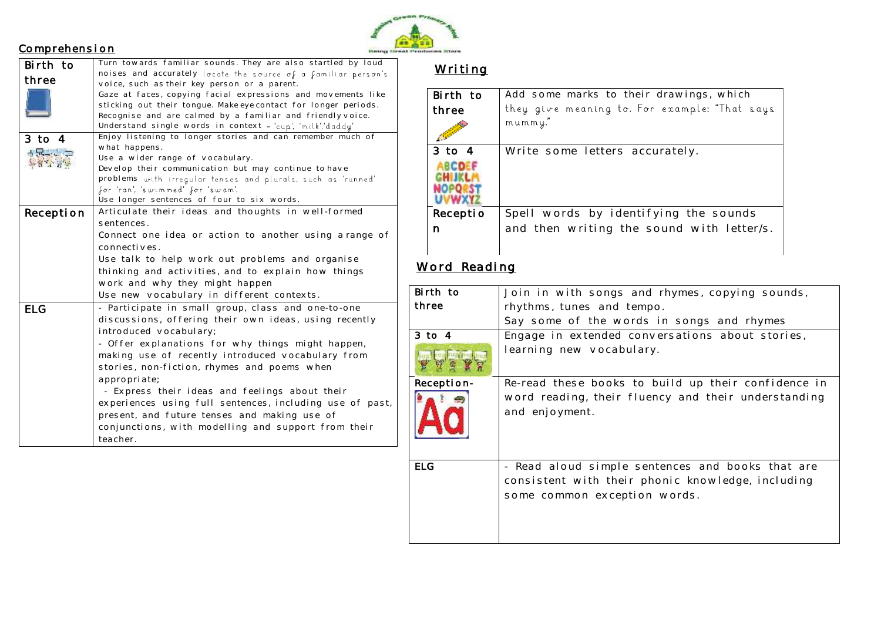#### **Comprehension**



| Birth to   | Turn towards familiar sounds. They are also startled by loud                                                 |
|------------|--------------------------------------------------------------------------------------------------------------|
| three      | noises and accurately locate the source of a familiar person's                                               |
|            | voice, such as their key person or a parent.<br>Gaze at faces, copying facial expressions and movements like |
|            | sticking out their tongue. Make eye contact for longer periods.                                              |
|            | Recognise and are calmed by a familiar and friendly voice.                                                   |
|            | Understand single words in context - 'cup', 'milk','daddy'                                                   |
| $3$ to $4$ | Enjoy listening to longer stories and can remember much of                                                   |
|            | what happens.                                                                                                |
| $+5-1$     | Use a wider range of vocabulary.                                                                             |
|            | Develop their communication but may continue to have                                                         |
|            | problems with irregular tenses and plurals, such as 'runned'                                                 |
|            | for 'ran', 'swimmed' for 'swam'.                                                                             |
|            | Use longer sentences of four to six words.                                                                   |
| Reception  | Articulate their ideas and thoughts in well-formed                                                           |
|            | sentences.                                                                                                   |
|            | Connect one idea or action to another using a range of                                                       |
|            | connectives.                                                                                                 |
|            | Use talk to help work out problems and organise                                                              |
|            | thinking and activities, and to explain how things                                                           |
|            | work and why they might happen                                                                               |
|            | Use new vocabulary in different contexts.                                                                    |
| <b>ELG</b> | - Participate in small group, class and one-to-one                                                           |
|            | discussions, offering their own ideas, using recently                                                        |
|            | introduced vocabulary;                                                                                       |
|            | - Offer explanations for why things might happen,                                                            |
|            | making use of recently introduced vocabulary from                                                            |
|            | stories, non-fiction, rhymes and poems when                                                                  |
|            | appropriate;                                                                                                 |
|            | - Express their ideas and feelings about their                                                               |
|            | experiences using full sentences, including use of past,                                                     |
|            | present, and future tenses and making use of                                                                 |
|            | conjunctions, with modelling and support from their                                                          |
|            | teacher.                                                                                                     |
|            |                                                                                                              |

## Writing

| Birth to   | Add some marks to their drawings, which       |
|------------|-----------------------------------------------|
| three      | they give meaning to. For example: "That says |
|            | mummy."                                       |
| $3$ to $4$ | Write some letters accurately.                |
|            |                                               |
| Receptio   | Spell words by identifying the sounds         |
| n          | and then writing the sound with letter/s.     |
|            |                                               |

#### $\underline{\textsf{Word}}$  Reading and sentences that can be calculated by  $\textsf{Red}$

| Birth to   | Join in with songs and rhymes, copying sounds,                                                                                        |
|------------|---------------------------------------------------------------------------------------------------------------------------------------|
| three      | rhythms, tunes and tempo.                                                                                                             |
|            | Say some of the words in songs and rhymes                                                                                             |
| $3$ to $4$ | Engage in extended conversations about stories,                                                                                       |
|            | learning new vocabulary.                                                                                                              |
| Reception- | Re-read these books to build up their confidence in                                                                                   |
|            | word reading, their fluency and their understanding<br>and enjoyment.                                                                 |
| <b>ELG</b> | - Read aloud simple sentences and books that are<br>consistent with their phonic knowledge, including<br>some common exception words. |